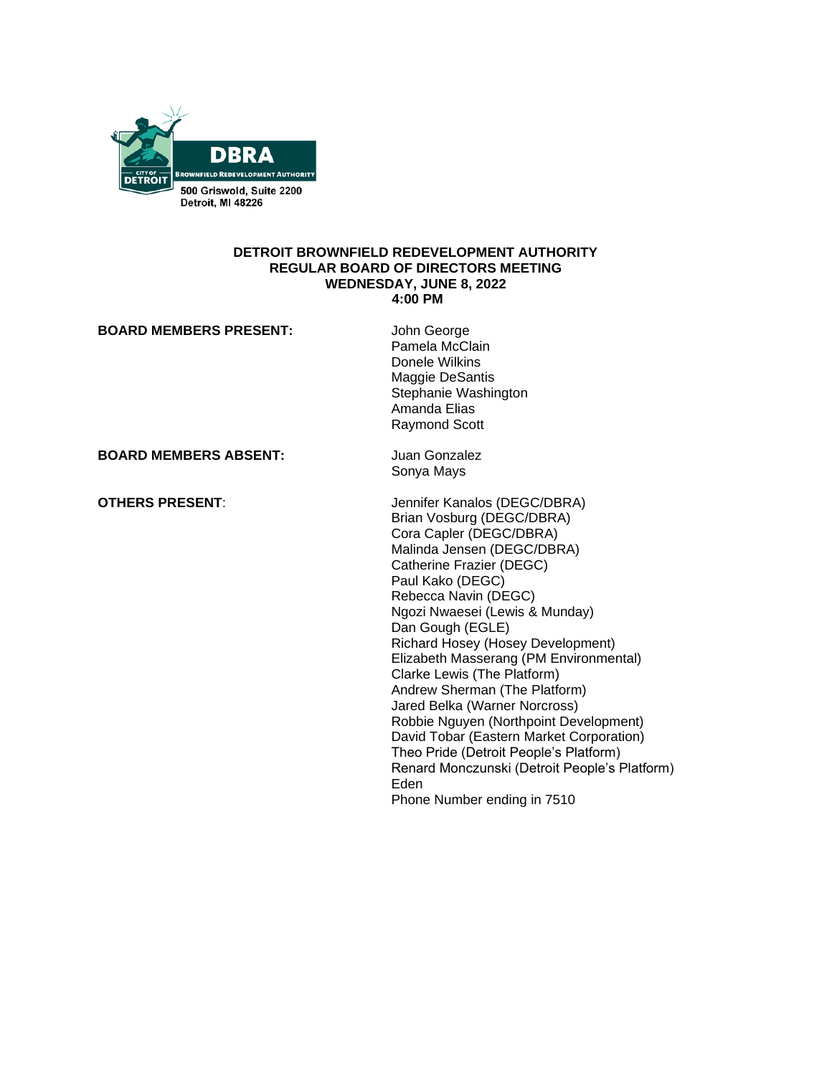

#### **DETROIT BROWNFIELD REDEVELOPMENT AUTHORITY REGULAR BOARD OF DIRECTORS MEETING WEDNESDAY, JUNE 8, 2022 4:00 PM**

## **BOARD MEMBERS PRESENT:** John George Pamela McClain Donele Wilkins Maggie DeSantis Stephanie Washington Amanda Elias Raymond Scott **BOARD MEMBERS ABSENT:** Juan Gonzalez Sonya Mays **OTHERS PRESENT:**  $\qquad \qquad$  Jennifer Kanalos (DEGC/DBRA) Brian Vosburg (DEGC/DBRA) Cora Capler (DEGC/DBRA) Malinda Jensen (DEGC/DBRA) Catherine Frazier (DEGC) Paul Kako (DEGC) Rebecca Navin (DEGC) Ngozi Nwaesei (Lewis & Munday) Dan Gough (EGLE) Richard Hosey (Hosey Development) Elizabeth Masserang (PM Environmental) Clarke Lewis (The Platform) Andrew Sherman (The Platform) Jared Belka (Warner Norcross) Robbie Nguyen (Northpoint Development) David Tobar (Eastern Market Corporation) Theo Pride (Detroit People's Platform) Renard Monczunski (Detroit People's Platform) Eden Phone Number ending in 7510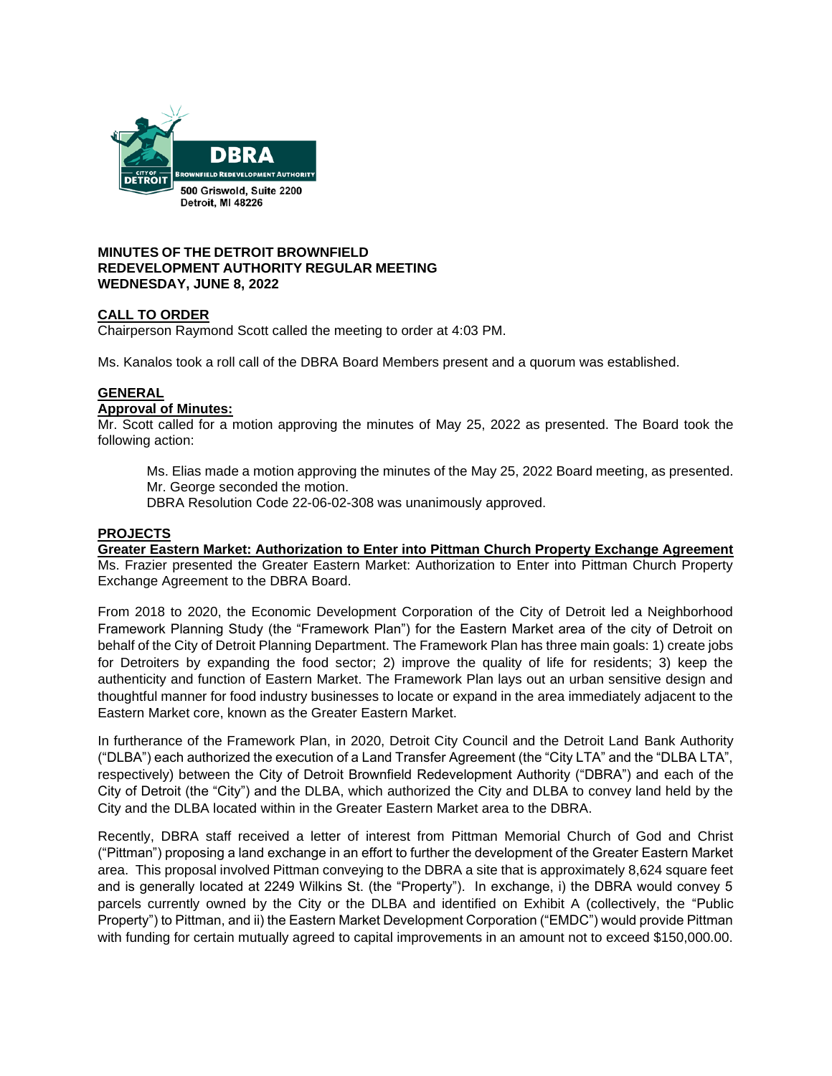

#### **MINUTES OF THE DETROIT BROWNFIELD REDEVELOPMENT AUTHORITY REGULAR MEETING WEDNESDAY, JUNE 8, 2022**

## **CALL TO ORDER**

Chairperson Raymond Scott called the meeting to order at 4:03 PM.

Ms. Kanalos took a roll call of the DBRA Board Members present and a quorum was established.

#### **GENERAL Approval of Minutes:**

Mr. Scott called for a motion approving the minutes of May 25, 2022 as presented. The Board took the following action:

Ms. Elias made a motion approving the minutes of the May 25, 2022 Board meeting, as presented. Mr. George seconded the motion.

DBRA Resolution Code 22-06-02-308 was unanimously approved.

## **PROJECTS**

**Greater Eastern Market: Authorization to Enter into Pittman Church Property Exchange Agreement** Ms. Frazier presented the Greater Eastern Market: Authorization to Enter into Pittman Church Property Exchange Agreement to the DBRA Board.

From 2018 to 2020, the Economic Development Corporation of the City of Detroit led a Neighborhood Framework Planning Study (the "Framework Plan") for the Eastern Market area of the city of Detroit on behalf of the City of Detroit Planning Department. The Framework Plan has three main goals: 1) create jobs for Detroiters by expanding the food sector; 2) improve the quality of life for residents; 3) keep the authenticity and function of Eastern Market. The Framework Plan lays out an urban sensitive design and thoughtful manner for food industry businesses to locate or expand in the area immediately adjacent to the Eastern Market core, known as the Greater Eastern Market.

In furtherance of the Framework Plan, in 2020, Detroit City Council and the Detroit Land Bank Authority ("DLBA") each authorized the execution of a Land Transfer Agreement (the "City LTA" and the "DLBA LTA", respectively) between the City of Detroit Brownfield Redevelopment Authority ("DBRA") and each of the City of Detroit (the "City") and the DLBA, which authorized the City and DLBA to convey land held by the City and the DLBA located within in the Greater Eastern Market area to the DBRA.

Recently, DBRA staff received a letter of interest from Pittman Memorial Church of God and Christ ("Pittman") proposing a land exchange in an effort to further the development of the Greater Eastern Market area. This proposal involved Pittman conveying to the DBRA a site that is approximately 8,624 square feet and is generally located at 2249 Wilkins St. (the "Property"). In exchange, i) the DBRA would convey 5 parcels currently owned by the City or the DLBA and identified on Exhibit A (collectively, the "Public Property") to Pittman, and ii) the Eastern Market Development Corporation ("EMDC") would provide Pittman with funding for certain mutually agreed to capital improvements in an amount not to exceed \$150,000.00.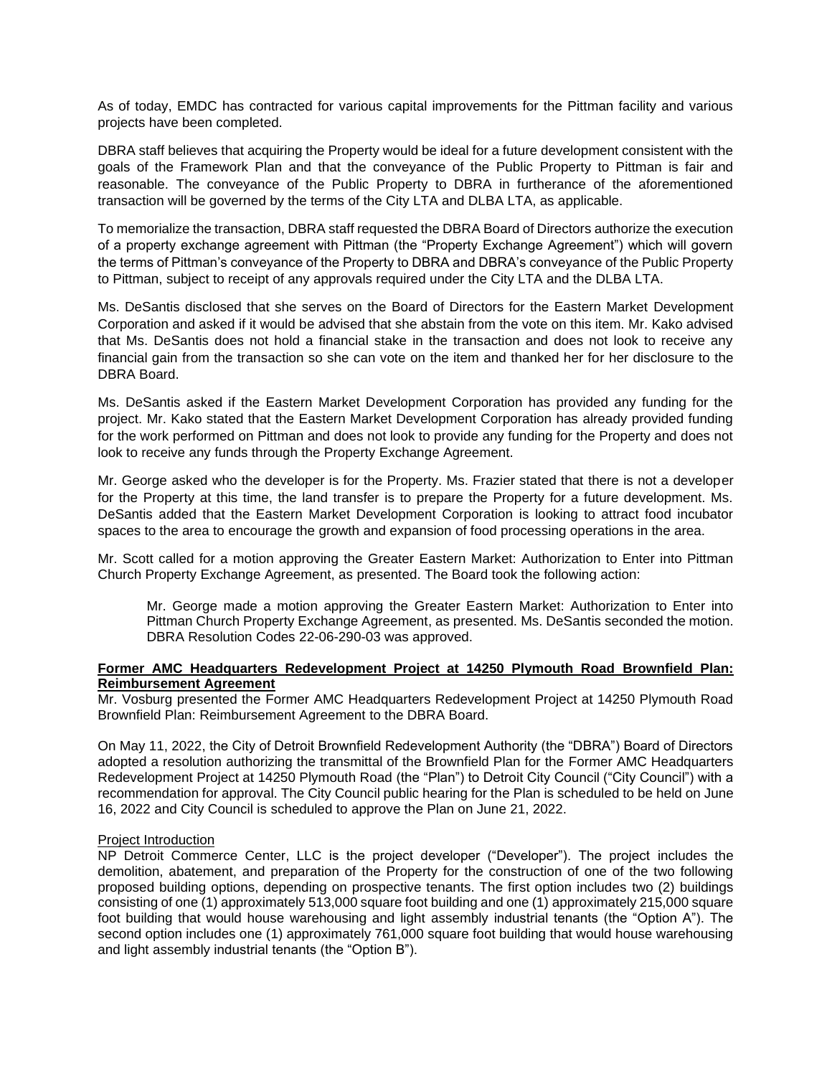As of today, EMDC has contracted for various capital improvements for the Pittman facility and various projects have been completed.

DBRA staff believes that acquiring the Property would be ideal for a future development consistent with the goals of the Framework Plan and that the conveyance of the Public Property to Pittman is fair and reasonable. The conveyance of the Public Property to DBRA in furtherance of the aforementioned transaction will be governed by the terms of the City LTA and DLBA LTA, as applicable.

To memorialize the transaction, DBRA staff requested the DBRA Board of Directors authorize the execution of a property exchange agreement with Pittman (the "Property Exchange Agreement") which will govern the terms of Pittman's conveyance of the Property to DBRA and DBRA's conveyance of the Public Property to Pittman, subject to receipt of any approvals required under the City LTA and the DLBA LTA.

Ms. DeSantis disclosed that she serves on the Board of Directors for the Eastern Market Development Corporation and asked if it would be advised that she abstain from the vote on this item. Mr. Kako advised that Ms. DeSantis does not hold a financial stake in the transaction and does not look to receive any financial gain from the transaction so she can vote on the item and thanked her for her disclosure to the DBRA Board.

Ms. DeSantis asked if the Eastern Market Development Corporation has provided any funding for the project. Mr. Kako stated that the Eastern Market Development Corporation has already provided funding for the work performed on Pittman and does not look to provide any funding for the Property and does not look to receive any funds through the Property Exchange Agreement.

Mr. George asked who the developer is for the Property. Ms. Frazier stated that there is not a developer for the Property at this time, the land transfer is to prepare the Property for a future development. Ms. DeSantis added that the Eastern Market Development Corporation is looking to attract food incubator spaces to the area to encourage the growth and expansion of food processing operations in the area.

Mr. Scott called for a motion approving the Greater Eastern Market: Authorization to Enter into Pittman Church Property Exchange Agreement, as presented. The Board took the following action:

Mr. George made a motion approving the Greater Eastern Market: Authorization to Enter into Pittman Church Property Exchange Agreement, as presented. Ms. DeSantis seconded the motion. DBRA Resolution Codes 22-06-290-03 was approved.

## **Former AMC Headquarters Redevelopment Project at 14250 Plymouth Road Brownfield Plan: Reimbursement Agreement**

Mr. Vosburg presented the Former AMC Headquarters Redevelopment Project at 14250 Plymouth Road Brownfield Plan: Reimbursement Agreement to the DBRA Board.

On May 11, 2022, the City of Detroit Brownfield Redevelopment Authority (the "DBRA") Board of Directors adopted a resolution authorizing the transmittal of the Brownfield Plan for the Former AMC Headquarters Redevelopment Project at 14250 Plymouth Road (the "Plan") to Detroit City Council ("City Council") with a recommendation for approval. The City Council public hearing for the Plan is scheduled to be held on June 16, 2022 and City Council is scheduled to approve the Plan on June 21, 2022.

## Project Introduction

NP Detroit Commerce Center, LLC is the project developer ("Developer"). The project includes the demolition, abatement, and preparation of the Property for the construction of one of the two following proposed building options, depending on prospective tenants. The first option includes two (2) buildings consisting of one (1) approximately 513,000 square foot building and one (1) approximately 215,000 square foot building that would house warehousing and light assembly industrial tenants (the "Option A"). The second option includes one (1) approximately 761,000 square foot building that would house warehousing and light assembly industrial tenants (the "Option B").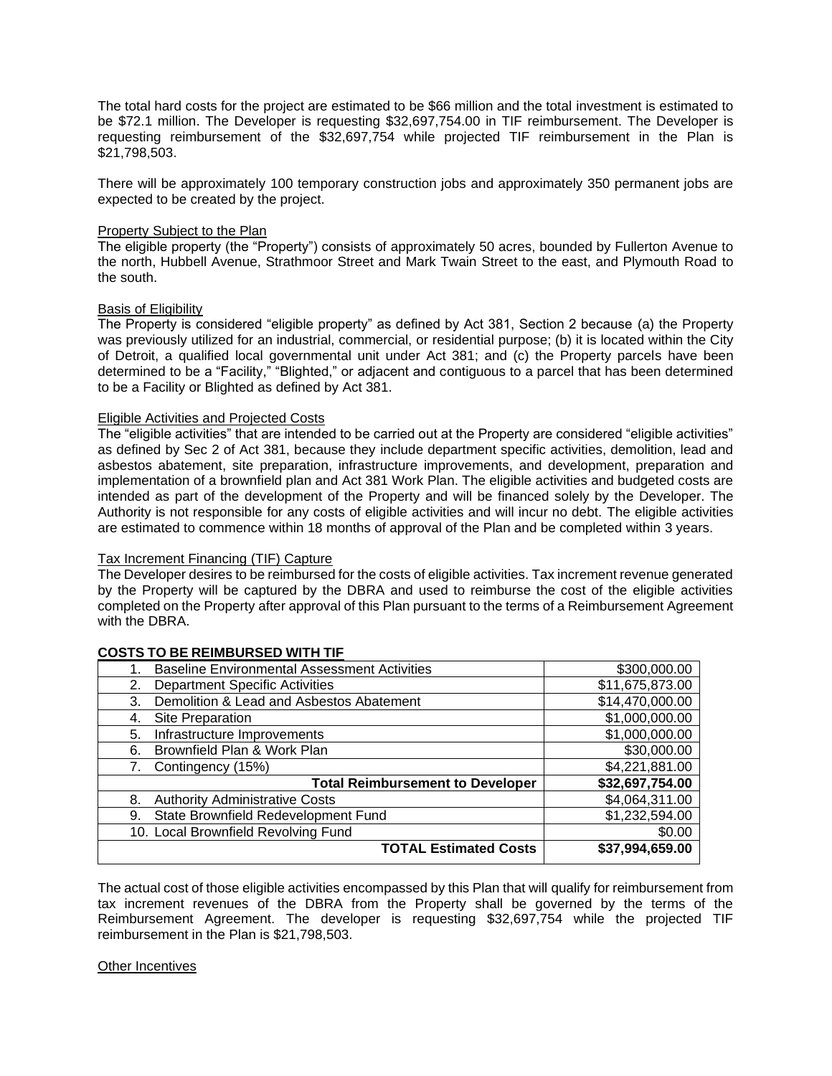The total hard costs for the project are estimated to be \$66 million and the total investment is estimated to be \$72.1 million. The Developer is requesting \$32,697,754.00 in TIF reimbursement. The Developer is requesting reimbursement of the \$32,697,754 while projected TIF reimbursement in the Plan is \$21,798,503.

There will be approximately 100 temporary construction jobs and approximately 350 permanent jobs are expected to be created by the project.

## **Property Subject to the Plan**

The eligible property (the "Property") consists of approximately 50 acres, bounded by Fullerton Avenue to the north, Hubbell Avenue, Strathmoor Street and Mark Twain Street to the east, and Plymouth Road to the south.

#### Basis of Eligibility

The Property is considered "eligible property" as defined by Act 381, Section 2 because (a) the Property was previously utilized for an industrial, commercial, or residential purpose; (b) it is located within the City of Detroit, a qualified local governmental unit under Act 381; and (c) the Property parcels have been determined to be a "Facility," "Blighted," or adjacent and contiguous to a parcel that has been determined to be a Facility or Blighted as defined by Act 381.

## Eligible Activities and Projected Costs

The "eligible activities" that are intended to be carried out at the Property are considered "eligible activities" as defined by Sec 2 of Act 381, because they include department specific activities, demolition, lead and asbestos abatement, site preparation, infrastructure improvements, and development, preparation and implementation of a brownfield plan and Act 381 Work Plan. The eligible activities and budgeted costs are intended as part of the development of the Property and will be financed solely by the Developer. The Authority is not responsible for any costs of eligible activities and will incur no debt. The eligible activities are estimated to commence within 18 months of approval of the Plan and be completed within 3 years.

## Tax Increment Financing (TIF) Capture

The Developer desires to be reimbursed for the costs of eligible activities. Tax increment revenue generated by the Property will be captured by the DBRA and used to reimburse the cost of the eligible activities completed on the Property after approval of this Plan pursuant to the terms of a Reimbursement Agreement with the DBRA.

| <b>Baseline Environmental Assessment Activities</b> | \$300,000.00    |
|-----------------------------------------------------|-----------------|
| <b>Department Specific Activities</b><br>2.         | \$11,675,873.00 |
| Demolition & Lead and Asbestos Abatement<br>3.      | \$14,470,000.00 |
| Site Preparation<br>4.                              | \$1,000,000.00  |
| Infrastructure Improvements<br>5.                   | \$1,000,000.00  |
| Brownfield Plan & Work Plan<br>6.                   | \$30,000.00     |
| Contingency (15%)<br>7.                             | \$4,221,881.00  |
| <b>Total Reimbursement to Developer</b>             | \$32,697,754.00 |
| <b>Authority Administrative Costs</b><br>8.         | \$4,064,311.00  |
| State Brownfield Redevelopment Fund<br>9.           | \$1,232,594.00  |
| 10. Local Brownfield Revolving Fund                 | \$0.00          |
| <b>TOTAL Estimated Costs</b>                        | \$37,994,659.00 |

## **COSTS TO BE REIMBURSED WITH TIF**

The actual cost of those eligible activities encompassed by this Plan that will qualify for reimbursement from tax increment revenues of the DBRA from the Property shall be governed by the terms of the Reimbursement Agreement. The developer is requesting \$32,697,754 while the projected TIF reimbursement in the Plan is \$21,798,503.

#### Other Incentives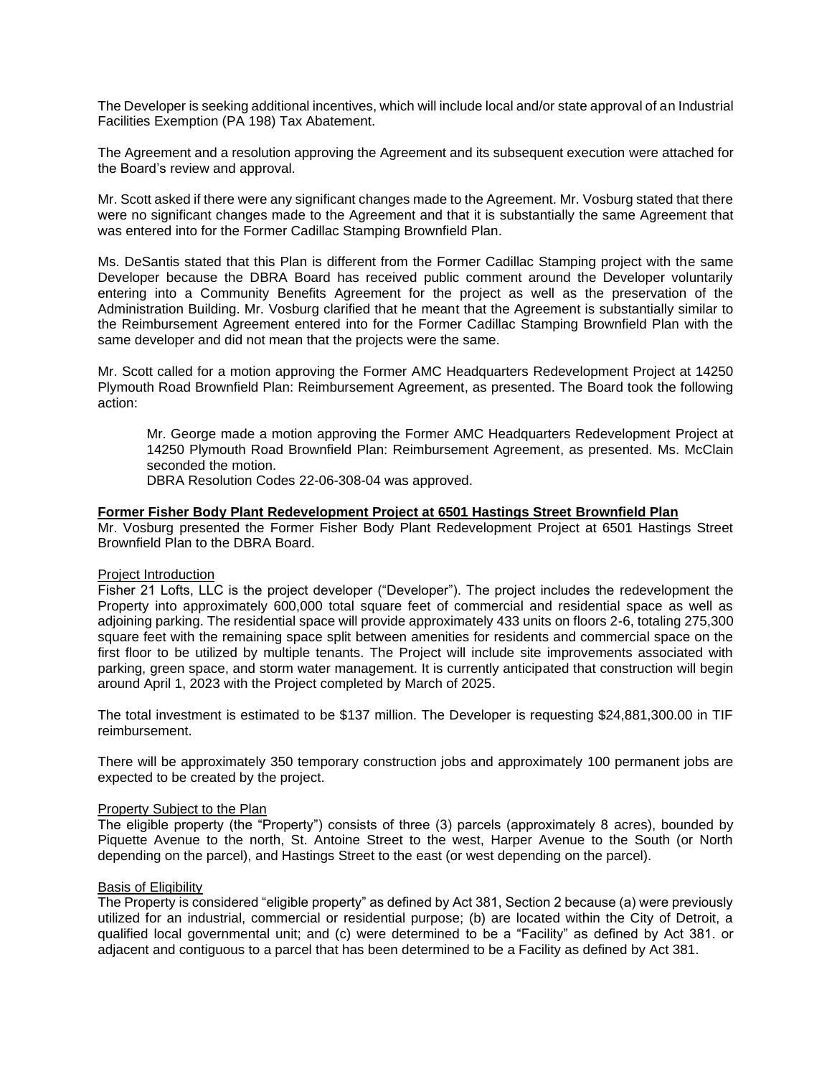The Developer is seeking additional incentives, which will include local and/or state approval of an Industrial Facilities Exemption (PA 198) Tax Abatement.

The Agreement and a resolution approving the Agreement and its subsequent execution were attached for the Board's review and approval.

Mr. Scott asked if there were any significant changes made to the Agreement. Mr. Vosburg stated that there were no significant changes made to the Agreement and that it is substantially the same Agreement that was entered into for the Former Cadillac Stamping Brownfield Plan.

Ms. DeSantis stated that this Plan is different from the Former Cadillac Stamping project with the same Developer because the DBRA Board has received public comment around the Developer voluntarily entering into a Community Benefits Agreement for the project as well as the preservation of the Administration Building. Mr. Vosburg clarified that he meant that the Agreement is substantially similar to the Reimbursement Agreement entered into for the Former Cadillac Stamping Brownfield Plan with the same developer and did not mean that the projects were the same.

Mr. Scott called for a motion approving the Former AMC Headquarters Redevelopment Project at 14250 Plymouth Road Brownfield Plan: Reimbursement Agreement, as presented. The Board took the following action:

Mr. George made a motion approving the Former AMC Headquarters Redevelopment Project at 14250 Plymouth Road Brownfield Plan: Reimbursement Agreement, as presented. Ms. McClain seconded the motion.

DBRA Resolution Codes 22-06-308-04 was approved.

#### **Former Fisher Body Plant Redevelopment Project at 6501 Hastings Street Brownfield Plan**

Mr. Vosburg presented the Former Fisher Body Plant Redevelopment Project at 6501 Hastings Street Brownfield Plan to the DBRA Board.

#### Project Introduction

Fisher 21 Lofts, LLC is the project developer ("Developer"). The project includes the redevelopment the Property into approximately 600,000 total square feet of commercial and residential space as well as adjoining parking. The residential space will provide approximately 433 units on floors 2-6, totaling 275,300 square feet with the remaining space split between amenities for residents and commercial space on the first floor to be utilized by multiple tenants. The Project will include site improvements associated with parking, green space, and storm water management. It is currently anticipated that construction will begin around April 1, 2023 with the Project completed by March of 2025.

The total investment is estimated to be \$137 million. The Developer is requesting \$24,881,300.00 in TIF reimbursement.

There will be approximately 350 temporary construction jobs and approximately 100 permanent jobs are expected to be created by the project.

#### Property Subject to the Plan

The eligible property (the "Property") consists of three (3) parcels (approximately 8 acres), bounded by Piquette Avenue to the north, St. Antoine Street to the west, Harper Avenue to the South (or North depending on the parcel), and Hastings Street to the east (or west depending on the parcel).

#### **Basis of Eligibility**

The Property is considered "eligible property" as defined by Act 381, Section 2 because (a) were previously utilized for an industrial, commercial or residential purpose; (b) are located within the City of Detroit, a qualified local governmental unit; and (c) were determined to be a "Facility" as defined by Act 381. or adjacent and contiguous to a parcel that has been determined to be a Facility as defined by Act 381.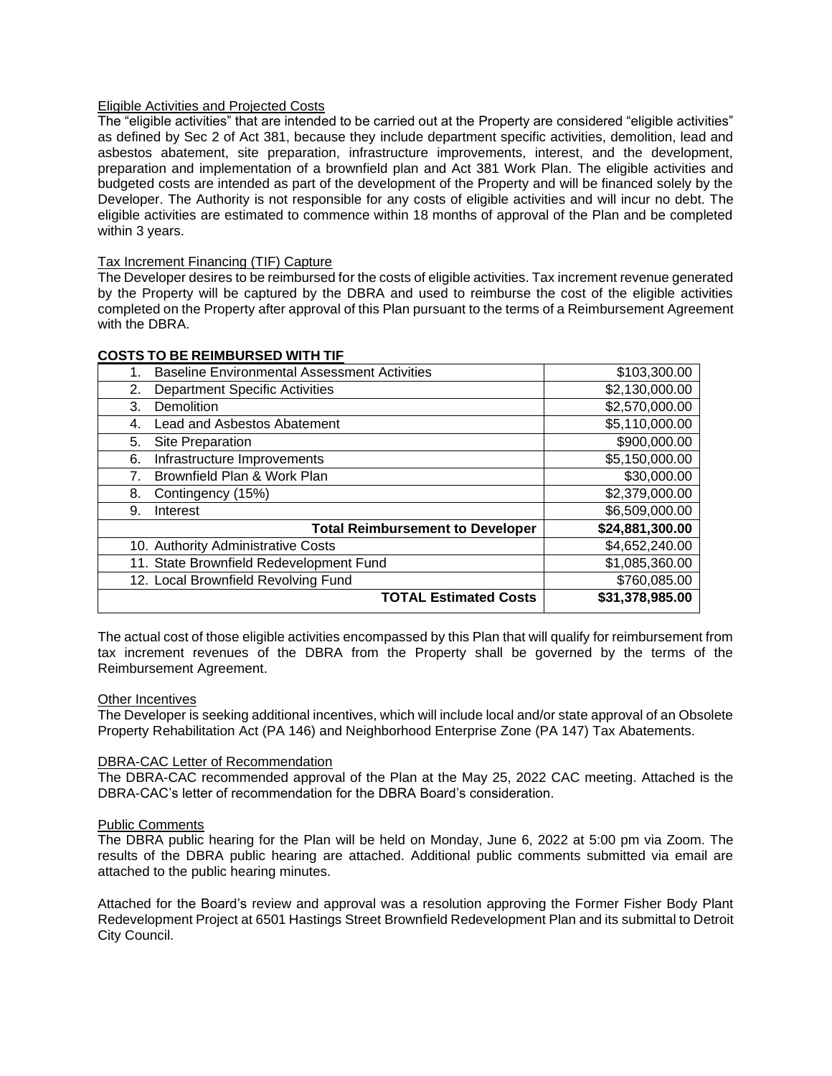#### Eligible Activities and Projected Costs

The "eligible activities" that are intended to be carried out at the Property are considered "eligible activities" as defined by Sec 2 of Act 381, because they include department specific activities, demolition, lead and asbestos abatement, site preparation, infrastructure improvements, interest, and the development, preparation and implementation of a brownfield plan and Act 381 Work Plan. The eligible activities and budgeted costs are intended as part of the development of the Property and will be financed solely by the Developer. The Authority is not responsible for any costs of eligible activities and will incur no debt. The eligible activities are estimated to commence within 18 months of approval of the Plan and be completed within 3 years.

#### Tax Increment Financing (TIF) Capture

The Developer desires to be reimbursed for the costs of eligible activities. Tax increment revenue generated by the Property will be captured by the DBRA and used to reimburse the cost of the eligible activities completed on the Property after approval of this Plan pursuant to the terms of a Reimbursement Agreement with the DBRA.

| 00010 10 DE KEIMDOROED WITH TH                            |                 |
|-----------------------------------------------------------|-----------------|
| <b>Baseline Environmental Assessment Activities</b><br>1. | \$103,300.00    |
| <b>Department Specific Activities</b><br>2.               | \$2,130,000.00  |
| Demolition<br>3.                                          | \$2,570,000.00  |
| Lead and Asbestos Abatement<br>4.                         | \$5,110,000.00  |
| Site Preparation<br>5.                                    | \$900,000.00    |
| Infrastructure Improvements<br>6.                         | \$5,150,000.00  |
| Brownfield Plan & Work Plan                               | \$30,000.00     |
| Contingency (15%)<br>8.                                   | \$2,379,000.00  |
| 9.<br>Interest                                            | \$6,509,000.00  |
| <b>Total Reimbursement to Developer</b>                   | \$24,881,300.00 |
| 10. Authority Administrative Costs                        | \$4,652,240.00  |
| 11. State Brownfield Redevelopment Fund                   | \$1,085,360.00  |
| 12. Local Brownfield Revolving Fund                       | \$760,085.00    |
| <b>TOTAL Estimated Costs</b>                              | \$31,378,985.00 |
|                                                           |                 |

#### **COSTS TO BE REIMBURSED WITH TIF**

The actual cost of those eligible activities encompassed by this Plan that will qualify for reimbursement from tax increment revenues of the DBRA from the Property shall be governed by the terms of the Reimbursement Agreement.

#### Other Incentives

The Developer is seeking additional incentives, which will include local and/or state approval of an Obsolete Property Rehabilitation Act (PA 146) and Neighborhood Enterprise Zone (PA 147) Tax Abatements.

#### DBRA-CAC Letter of Recommendation

The DBRA-CAC recommended approval of the Plan at the May 25, 2022 CAC meeting. Attached is the DBRA-CAC's letter of recommendation for the DBRA Board's consideration.

#### Public Comments

The DBRA public hearing for the Plan will be held on Monday, June 6, 2022 at 5:00 pm via Zoom. The results of the DBRA public hearing are attached. Additional public comments submitted via email are attached to the public hearing minutes.

Attached for the Board's review and approval was a resolution approving the Former Fisher Body Plant Redevelopment Project at 6501 Hastings Street Brownfield Redevelopment Plan and its submittal to Detroit City Council.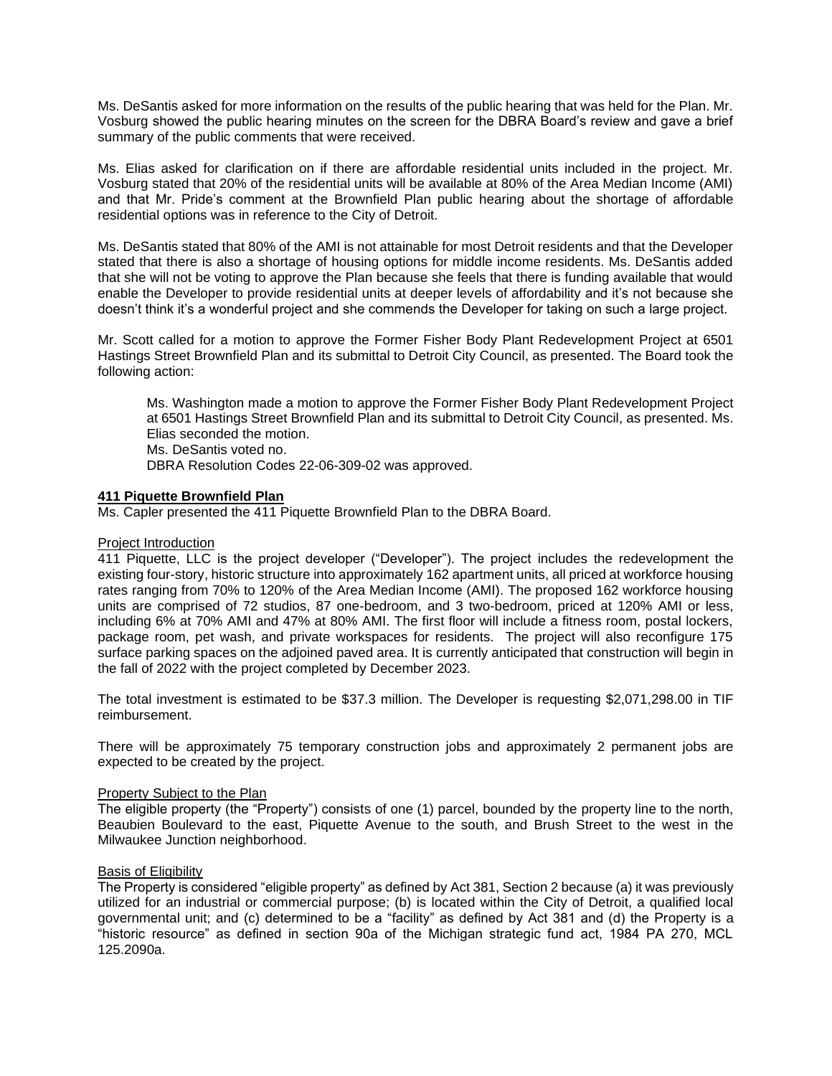Ms. DeSantis asked for more information on the results of the public hearing that was held for the Plan. Mr. Vosburg showed the public hearing minutes on the screen for the DBRA Board's review and gave a brief summary of the public comments that were received.

Ms. Elias asked for clarification on if there are affordable residential units included in the project. Mr. Vosburg stated that 20% of the residential units will be available at 80% of the Area Median Income (AMI) and that Mr. Pride's comment at the Brownfield Plan public hearing about the shortage of affordable residential options was in reference to the City of Detroit.

Ms. DeSantis stated that 80% of the AMI is not attainable for most Detroit residents and that the Developer stated that there is also a shortage of housing options for middle income residents. Ms. DeSantis added that she will not be voting to approve the Plan because she feels that there is funding available that would enable the Developer to provide residential units at deeper levels of affordability and it's not because she doesn't think it's a wonderful project and she commends the Developer for taking on such a large project.

Mr. Scott called for a motion to approve the Former Fisher Body Plant Redevelopment Project at 6501 Hastings Street Brownfield Plan and its submittal to Detroit City Council, as presented. The Board took the following action:

Ms. Washington made a motion to approve the Former Fisher Body Plant Redevelopment Project at 6501 Hastings Street Brownfield Plan and its submittal to Detroit City Council, as presented. Ms. Elias seconded the motion.

Ms. DeSantis voted no.

DBRA Resolution Codes 22-06-309-02 was approved.

## **411 Piquette Brownfield Plan**

Ms. Capler presented the 411 Piquette Brownfield Plan to the DBRA Board.

#### Project Introduction

411 Piquette, LLC is the project developer ("Developer"). The project includes the redevelopment the existing four-story, historic structure into approximately 162 apartment units, all priced at workforce housing rates ranging from 70% to 120% of the Area Median Income (AMI). The proposed 162 workforce housing units are comprised of 72 studios, 87 one-bedroom, and 3 two-bedroom, priced at 120% AMI or less, including 6% at 70% AMI and 47% at 80% AMI. The first floor will include a fitness room, postal lockers, package room, pet wash, and private workspaces for residents. The project will also reconfigure 175 surface parking spaces on the adjoined paved area. It is currently anticipated that construction will begin in the fall of 2022 with the project completed by December 2023.

The total investment is estimated to be \$37.3 million. The Developer is requesting \$2,071,298.00 in TIF reimbursement.

There will be approximately 75 temporary construction jobs and approximately 2 permanent jobs are expected to be created by the project.

#### Property Subject to the Plan

The eligible property (the "Property") consists of one (1) parcel, bounded by the property line to the north, Beaubien Boulevard to the east, Piquette Avenue to the south, and Brush Street to the west in the Milwaukee Junction neighborhood.

## Basis of Eligibility

The Property is considered "eligible property" as defined by Act 381, Section 2 because (a) it was previously utilized for an industrial or commercial purpose; (b) is located within the City of Detroit, a qualified local governmental unit; and (c) determined to be a "facility" as defined by Act 381 and (d) the Property is a "historic resource" as defined in section 90a of the Michigan strategic fund act, 1984 PA 270, MCL 125.2090a.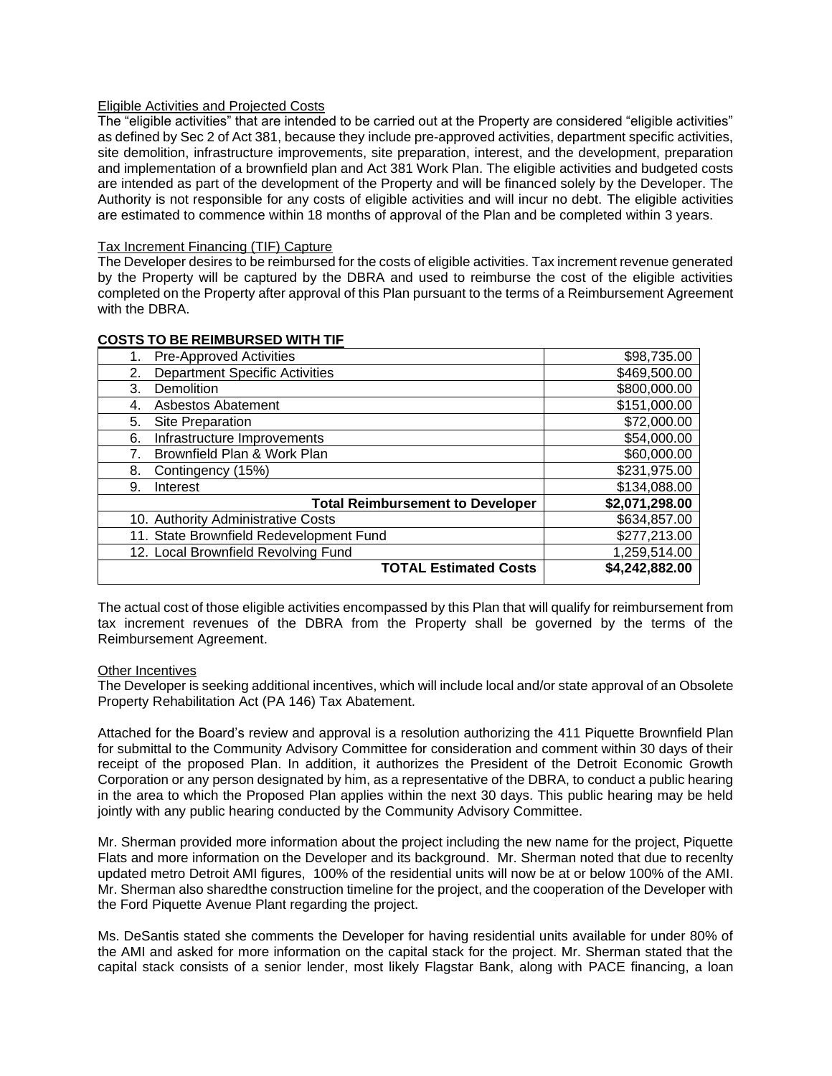## Eligible Activities and Projected Costs

The "eligible activities" that are intended to be carried out at the Property are considered "eligible activities" as defined by Sec 2 of Act 381, because they include pre-approved activities, department specific activities, site demolition, infrastructure improvements, site preparation, interest, and the development, preparation and implementation of a brownfield plan and Act 381 Work Plan. The eligible activities and budgeted costs are intended as part of the development of the Property and will be financed solely by the Developer. The Authority is not responsible for any costs of eligible activities and will incur no debt. The eligible activities are estimated to commence within 18 months of approval of the Plan and be completed within 3 years.

## Tax Increment Financing (TIF) Capture

The Developer desires to be reimbursed for the costs of eligible activities. Tax increment revenue generated by the Property will be captured by the DBRA and used to reimburse the cost of the eligible activities completed on the Property after approval of this Plan pursuant to the terms of a Reimbursement Agreement with the DBRA.

| Pre-Approved Activities                     | \$98,735.00    |
|---------------------------------------------|----------------|
| <b>Department Specific Activities</b><br>2. | \$469,500.00   |
| <b>Demolition</b><br>3.                     | \$800,000.00   |
| <b>Asbestos Abatement</b><br>4.             | \$151,000.00   |
| Site Preparation<br>5.                      | \$72,000.00    |
| Infrastructure Improvements<br>6.           | \$54,000.00    |
| Brownfield Plan & Work Plan                 | \$60,000.00    |
| Contingency (15%)<br>8.                     | \$231,975.00   |
| 9.<br>Interest                              | \$134,088.00   |
| <b>Total Reimbursement to Developer</b>     | \$2,071,298.00 |
| 10. Authority Administrative Costs          | \$634,857.00   |
| 11. State Brownfield Redevelopment Fund     | \$277,213.00   |
| 12. Local Brownfield Revolving Fund         | 1,259,514.00   |
| <b>TOTAL Estimated Costs</b>                | \$4,242,882.00 |

## **COSTS TO BE REIMBURSED WITH TIF**

The actual cost of those eligible activities encompassed by this Plan that will qualify for reimbursement from tax increment revenues of the DBRA from the Property shall be governed by the terms of the Reimbursement Agreement.

## Other Incentives

The Developer is seeking additional incentives, which will include local and/or state approval of an Obsolete Property Rehabilitation Act (PA 146) Tax Abatement.

Attached for the Board's review and approval is a resolution authorizing the 411 Piquette Brownfield Plan for submittal to the Community Advisory Committee for consideration and comment within 30 days of their receipt of the proposed Plan. In addition, it authorizes the President of the Detroit Economic Growth Corporation or any person designated by him, as a representative of the DBRA, to conduct a public hearing in the area to which the Proposed Plan applies within the next 30 days. This public hearing may be held jointly with any public hearing conducted by the Community Advisory Committee.

Mr. Sherman provided more information about the project including the new name for the project, Piquette Flats and more information on the Developer and its background. Mr. Sherman noted that due to recenlty updated metro Detroit AMI figures, 100% of the residential units will now be at or below 100% of the AMI. Mr. Sherman also sharedthe construction timeline for the project, and the cooperation of the Developer with the Ford Piquette Avenue Plant regarding the project.

Ms. DeSantis stated she comments the Developer for having residential units available for under 80% of the AMI and asked for more information on the capital stack for the project. Mr. Sherman stated that the capital stack consists of a senior lender, most likely Flagstar Bank, along with PACE financing, a loan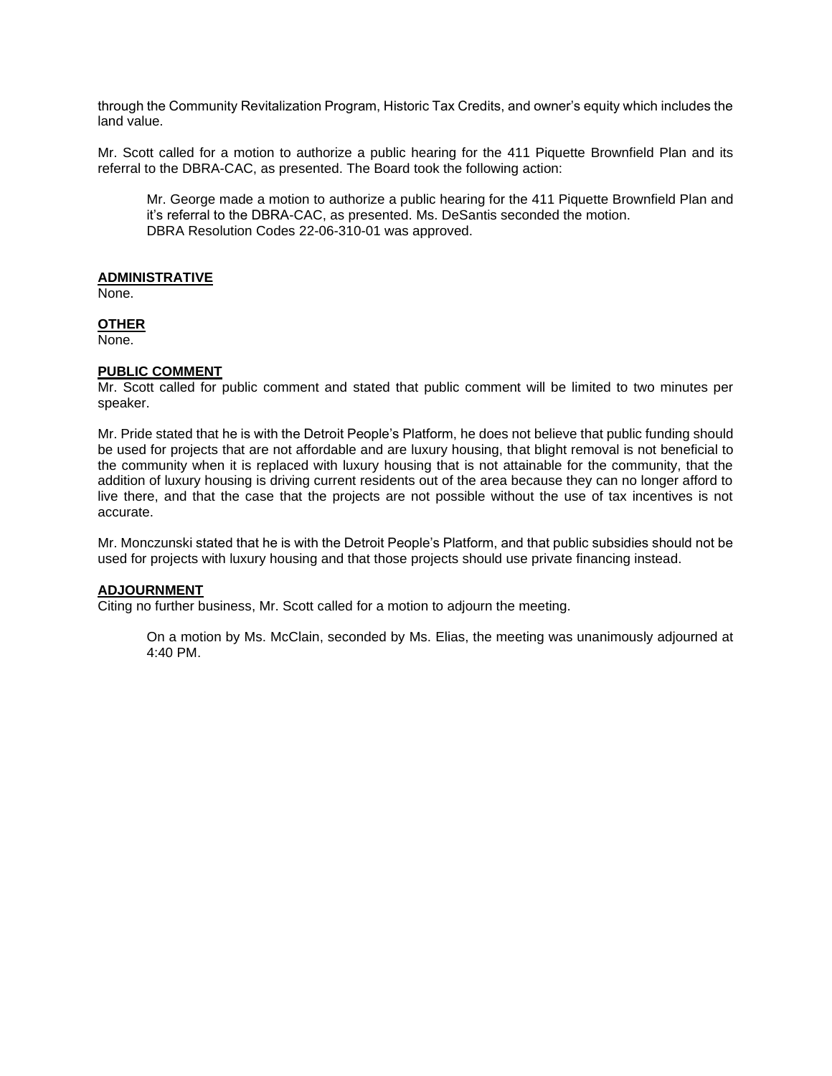through the Community Revitalization Program, Historic Tax Credits, and owner's equity which includes the land value.

Mr. Scott called for a motion to authorize a public hearing for the 411 Piquette Brownfield Plan and its referral to the DBRA-CAC, as presented. The Board took the following action:

Mr. George made a motion to authorize a public hearing for the 411 Piquette Brownfield Plan and it's referral to the DBRA-CAC, as presented. Ms. DeSantis seconded the motion. DBRA Resolution Codes 22-06-310-01 was approved.

#### **ADMINISTRATIVE**

None.

## **OTHER**

None.

## **PUBLIC COMMENT**

Mr. Scott called for public comment and stated that public comment will be limited to two minutes per speaker.

Mr. Pride stated that he is with the Detroit People's Platform, he does not believe that public funding should be used for projects that are not affordable and are luxury housing, that blight removal is not beneficial to the community when it is replaced with luxury housing that is not attainable for the community, that the addition of luxury housing is driving current residents out of the area because they can no longer afford to live there, and that the case that the projects are not possible without the use of tax incentives is not accurate.

Mr. Monczunski stated that he is with the Detroit People's Platform, and that public subsidies should not be used for projects with luxury housing and that those projects should use private financing instead.

## **ADJOURNMENT**

Citing no further business, Mr. Scott called for a motion to adjourn the meeting.

On a motion by Ms. McClain, seconded by Ms. Elias, the meeting was unanimously adjourned at 4:40 PM.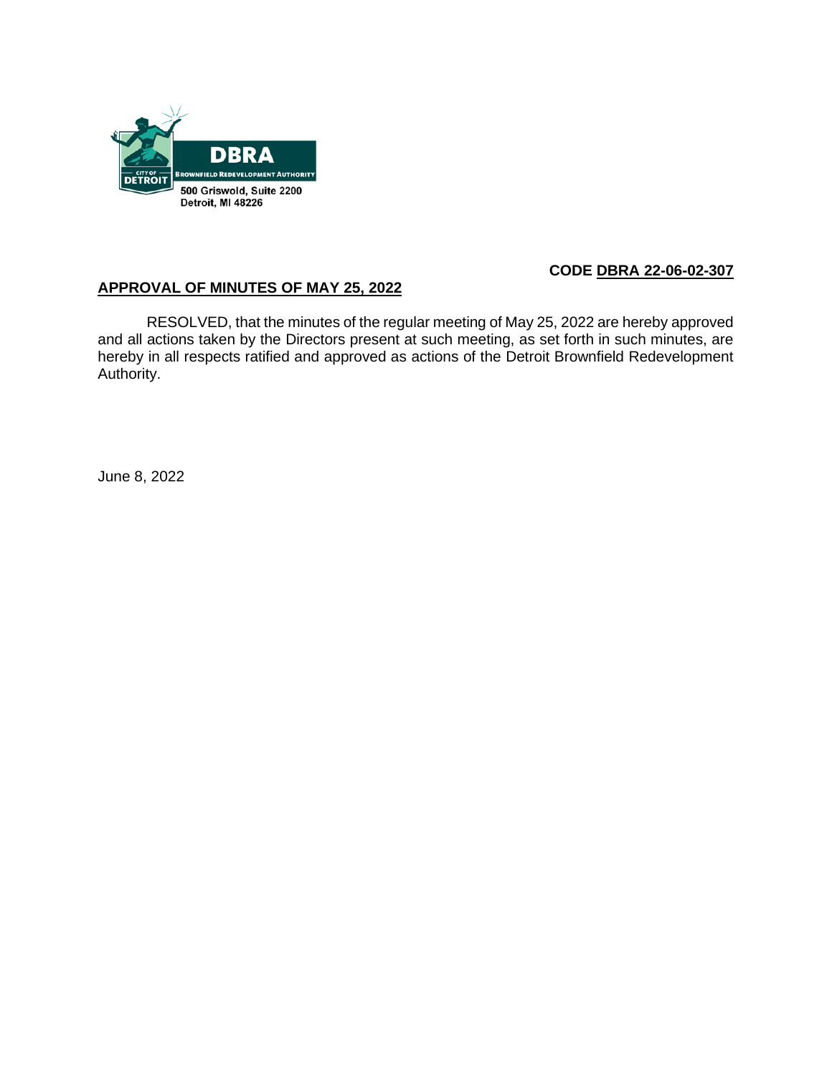

## **CODE DBRA 22-06-02-307**

## **APPROVAL OF MINUTES OF MAY 25, 2022**

RESOLVED, that the minutes of the regular meeting of May 25, 2022 are hereby approved and all actions taken by the Directors present at such meeting, as set forth in such minutes, are hereby in all respects ratified and approved as actions of the Detroit Brownfield Redevelopment Authority.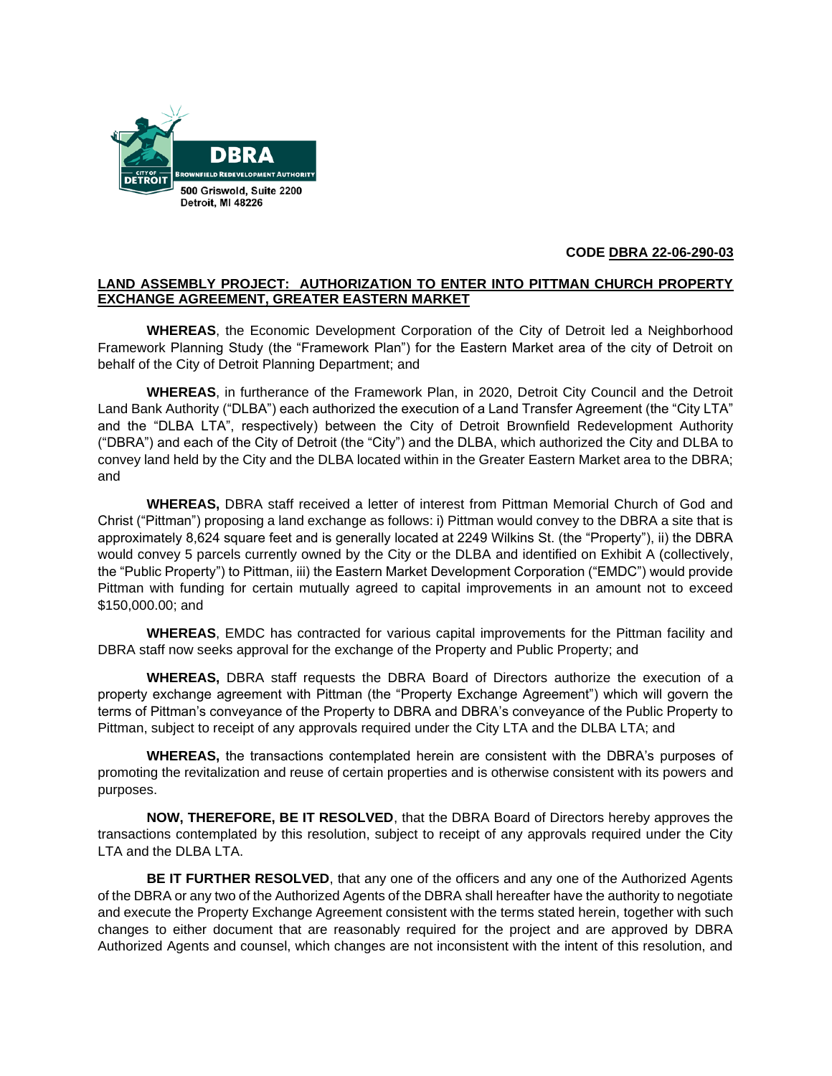

## **CODE DBRA 22-06-290-03**

## **LAND ASSEMBLY PROJECT: AUTHORIZATION TO ENTER INTO PITTMAN CHURCH PROPERTY EXCHANGE AGREEMENT, GREATER EASTERN MARKET**

**WHEREAS**, the Economic Development Corporation of the City of Detroit led a Neighborhood Framework Planning Study (the "Framework Plan") for the Eastern Market area of the city of Detroit on behalf of the City of Detroit Planning Department; and

**WHEREAS**, in furtherance of the Framework Plan, in 2020, Detroit City Council and the Detroit Land Bank Authority ("DLBA") each authorized the execution of a Land Transfer Agreement (the "City LTA" and the "DLBA LTA", respectively) between the City of Detroit Brownfield Redevelopment Authority ("DBRA") and each of the City of Detroit (the "City") and the DLBA, which authorized the City and DLBA to convey land held by the City and the DLBA located within in the Greater Eastern Market area to the DBRA; and

**WHEREAS,** DBRA staff received a letter of interest from Pittman Memorial Church of God and Christ ("Pittman") proposing a land exchange as follows: i) Pittman would convey to the DBRA a site that is approximately 8,624 square feet and is generally located at 2249 Wilkins St. (the "Property"), ii) the DBRA would convey 5 parcels currently owned by the City or the DLBA and identified on Exhibit A (collectively, the "Public Property") to Pittman, iii) the Eastern Market Development Corporation ("EMDC") would provide Pittman with funding for certain mutually agreed to capital improvements in an amount not to exceed \$150,000.00; and

**WHEREAS**, EMDC has contracted for various capital improvements for the Pittman facility and DBRA staff now seeks approval for the exchange of the Property and Public Property; and

**WHEREAS,** DBRA staff requests the DBRA Board of Directors authorize the execution of a property exchange agreement with Pittman (the "Property Exchange Agreement") which will govern the terms of Pittman's conveyance of the Property to DBRA and DBRA's conveyance of the Public Property to Pittman, subject to receipt of any approvals required under the City LTA and the DLBA LTA; and

**WHEREAS,** the transactions contemplated herein are consistent with the DBRA's purposes of promoting the revitalization and reuse of certain properties and is otherwise consistent with its powers and purposes.

**NOW, THEREFORE, BE IT RESOLVED**, that the DBRA Board of Directors hereby approves the transactions contemplated by this resolution, subject to receipt of any approvals required under the City LTA and the DLBA LTA.

**BE IT FURTHER RESOLVED**, that any one of the officers and any one of the Authorized Agents of the DBRA or any two of the Authorized Agents of the DBRA shall hereafter have the authority to negotiate and execute the Property Exchange Agreement consistent with the terms stated herein, together with such changes to either document that are reasonably required for the project and are approved by DBRA Authorized Agents and counsel, which changes are not inconsistent with the intent of this resolution, and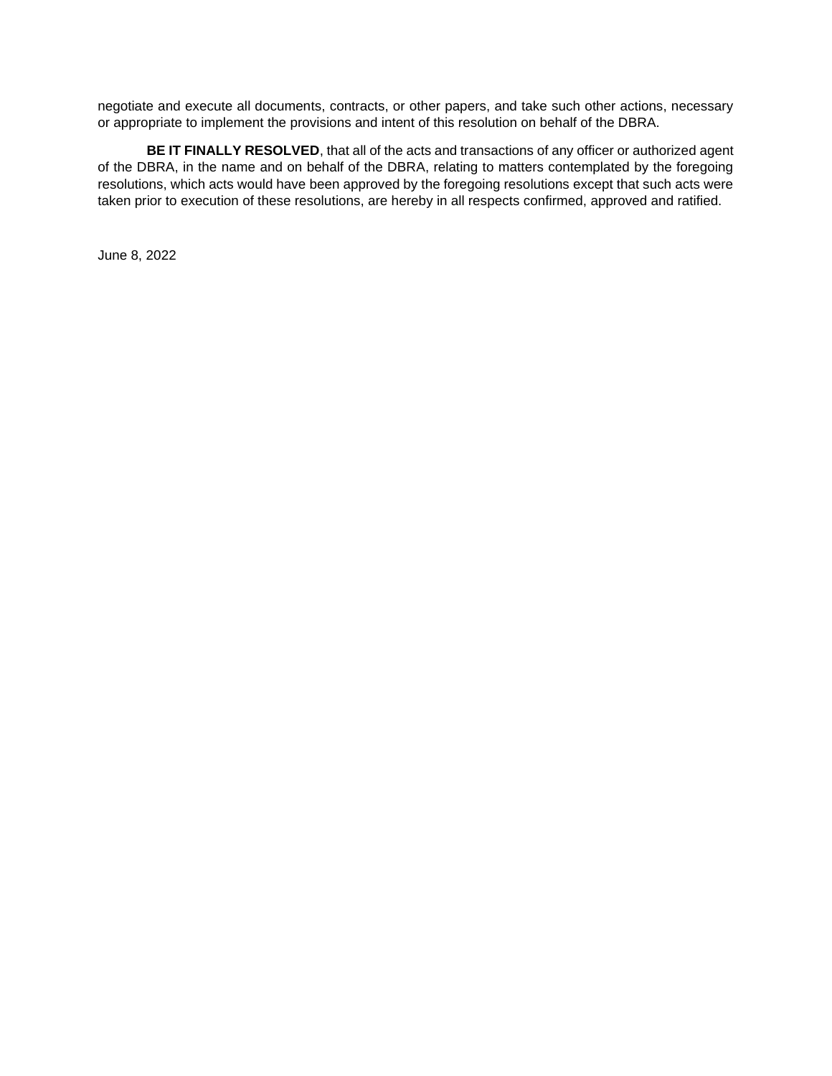negotiate and execute all documents, contracts, or other papers, and take such other actions, necessary or appropriate to implement the provisions and intent of this resolution on behalf of the DBRA.

**BE IT FINALLY RESOLVED**, that all of the acts and transactions of any officer or authorized agent of the DBRA, in the name and on behalf of the DBRA, relating to matters contemplated by the foregoing resolutions, which acts would have been approved by the foregoing resolutions except that such acts were taken prior to execution of these resolutions, are hereby in all respects confirmed, approved and ratified.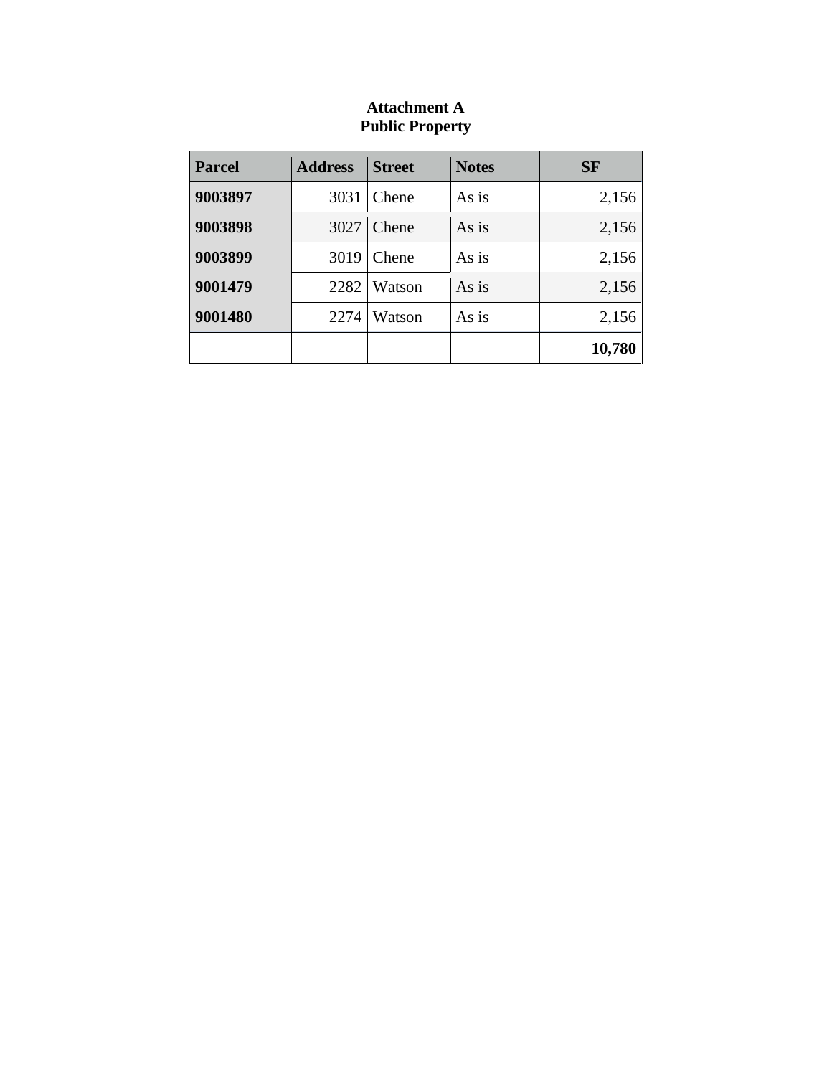| <b>Parcel</b> | <b>Address</b> | <b>Street</b> | <b>Notes</b> | SF     |
|---------------|----------------|---------------|--------------|--------|
| 9003897       | 3031           | Chene         | As is        | 2,156  |
| 9003898       | 3027           | Chene         | As is        | 2,156  |
| 9003899       | 3019           | Chene         | As is        | 2,156  |
| 9001479       | 2282           | Watson        | As is        | 2,156  |
| 9001480       | 2274           | Watson        | As is        | 2,156  |
|               |                |               |              | 10,780 |

# **Attachment A Public Property**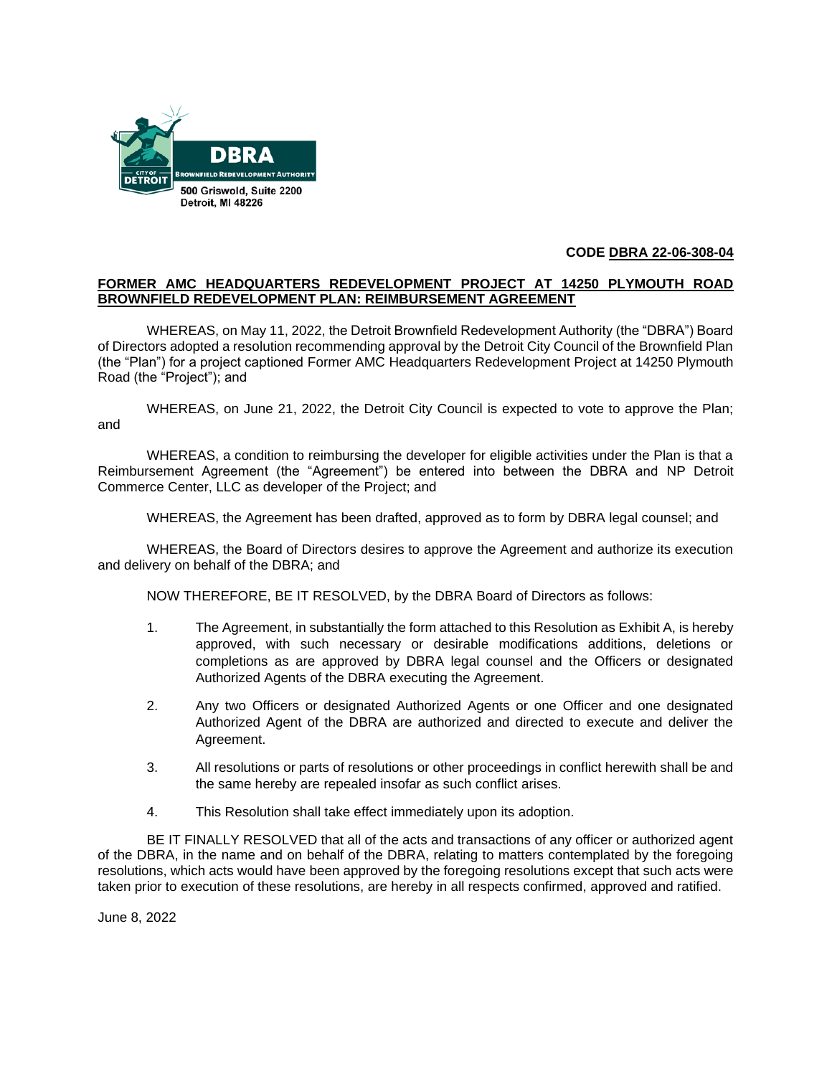

## **CODE DBRA 22-06-308-04**

## **FORMER AMC HEADQUARTERS REDEVELOPMENT PROJECT AT 14250 PLYMOUTH ROAD BROWNFIELD REDEVELOPMENT PLAN: REIMBURSEMENT AGREEMENT**

WHEREAS, on May 11, 2022, the Detroit Brownfield Redevelopment Authority (the "DBRA") Board of Directors adopted a resolution recommending approval by the Detroit City Council of the Brownfield Plan (the "Plan") for a project captioned Former AMC Headquarters Redevelopment Project at 14250 Plymouth Road (the "Project"); and

WHEREAS, on June 21, 2022, the Detroit City Council is expected to vote to approve the Plan; and

WHEREAS, a condition to reimbursing the developer for eligible activities under the Plan is that a Reimbursement Agreement (the "Agreement") be entered into between the DBRA and NP Detroit Commerce Center, LLC as developer of the Project; and

WHEREAS, the Agreement has been drafted, approved as to form by DBRA legal counsel; and

WHEREAS, the Board of Directors desires to approve the Agreement and authorize its execution and delivery on behalf of the DBRA; and

NOW THEREFORE, BE IT RESOLVED, by the DBRA Board of Directors as follows:

- 1. The Agreement, in substantially the form attached to this Resolution as Exhibit A, is hereby approved, with such necessary or desirable modifications additions, deletions or completions as are approved by DBRA legal counsel and the Officers or designated Authorized Agents of the DBRA executing the Agreement.
- 2. Any two Officers or designated Authorized Agents or one Officer and one designated Authorized Agent of the DBRA are authorized and directed to execute and deliver the Agreement.
- 3. All resolutions or parts of resolutions or other proceedings in conflict herewith shall be and the same hereby are repealed insofar as such conflict arises.
- 4. This Resolution shall take effect immediately upon its adoption.

BE IT FINALLY RESOLVED that all of the acts and transactions of any officer or authorized agent of the DBRA, in the name and on behalf of the DBRA, relating to matters contemplated by the foregoing resolutions, which acts would have been approved by the foregoing resolutions except that such acts were taken prior to execution of these resolutions, are hereby in all respects confirmed, approved and ratified.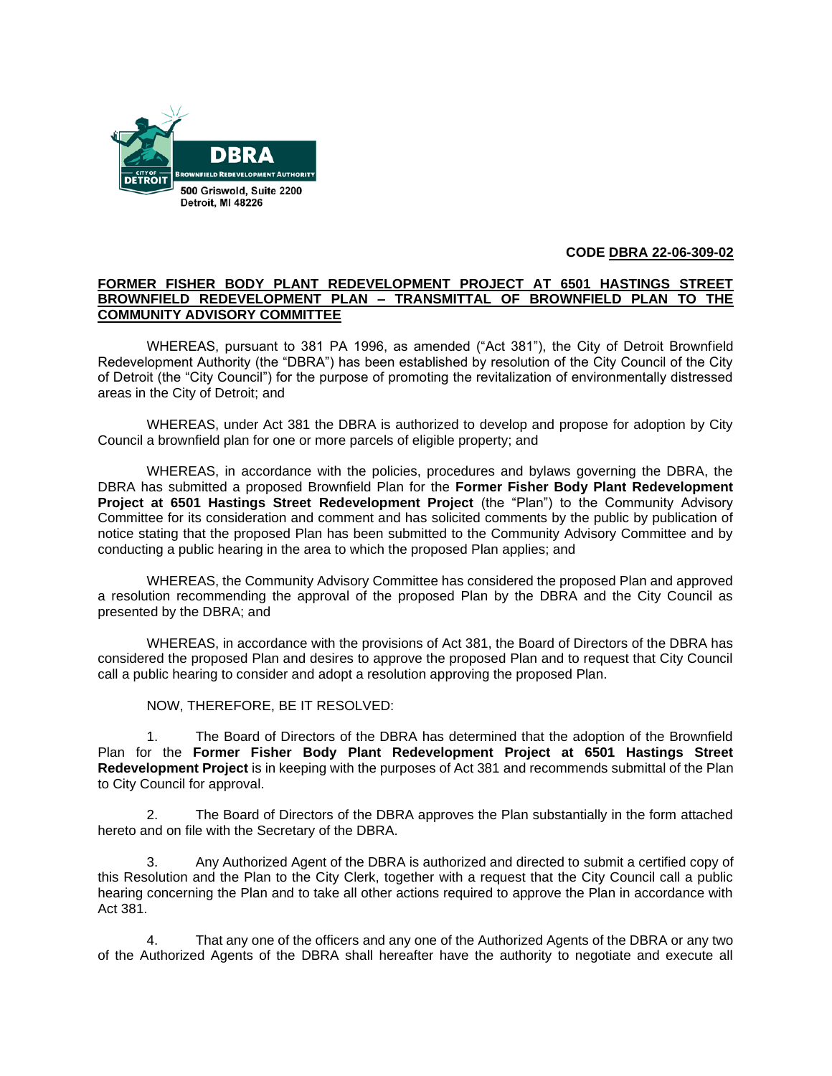

## **CODE DBRA 22-06-309-02**

## **FORMER FISHER BODY PLANT REDEVELOPMENT PROJECT AT 6501 HASTINGS STREET BROWNFIELD REDEVELOPMENT PLAN – TRANSMITTAL OF BROWNFIELD PLAN TO THE COMMUNITY ADVISORY COMMITTEE**

WHEREAS, pursuant to 381 PA 1996, as amended ("Act 381"), the City of Detroit Brownfield Redevelopment Authority (the "DBRA") has been established by resolution of the City Council of the City of Detroit (the "City Council") for the purpose of promoting the revitalization of environmentally distressed areas in the City of Detroit; and

WHEREAS, under Act 381 the DBRA is authorized to develop and propose for adoption by City Council a brownfield plan for one or more parcels of eligible property; and

WHEREAS, in accordance with the policies, procedures and bylaws governing the DBRA, the DBRA has submitted a proposed Brownfield Plan for the **Former Fisher Body Plant Redevelopment Project at 6501 Hastings Street Redevelopment Project** (the "Plan") to the Community Advisory Committee for its consideration and comment and has solicited comments by the public by publication of notice stating that the proposed Plan has been submitted to the Community Advisory Committee and by conducting a public hearing in the area to which the proposed Plan applies; and

WHEREAS, the Community Advisory Committee has considered the proposed Plan and approved a resolution recommending the approval of the proposed Plan by the DBRA and the City Council as presented by the DBRA; and

WHEREAS, in accordance with the provisions of Act 381, the Board of Directors of the DBRA has considered the proposed Plan and desires to approve the proposed Plan and to request that City Council call a public hearing to consider and adopt a resolution approving the proposed Plan.

NOW, THEREFORE, BE IT RESOLVED:

1. The Board of Directors of the DBRA has determined that the adoption of the Brownfield Plan for the **Former Fisher Body Plant Redevelopment Project at 6501 Hastings Street Redevelopment Project** is in keeping with the purposes of Act 381 and recommends submittal of the Plan to City Council for approval.

2. The Board of Directors of the DBRA approves the Plan substantially in the form attached hereto and on file with the Secretary of the DBRA.

3. Any Authorized Agent of the DBRA is authorized and directed to submit a certified copy of this Resolution and the Plan to the City Clerk, together with a request that the City Council call a public hearing concerning the Plan and to take all other actions required to approve the Plan in accordance with Act 381.

4. That any one of the officers and any one of the Authorized Agents of the DBRA or any two of the Authorized Agents of the DBRA shall hereafter have the authority to negotiate and execute all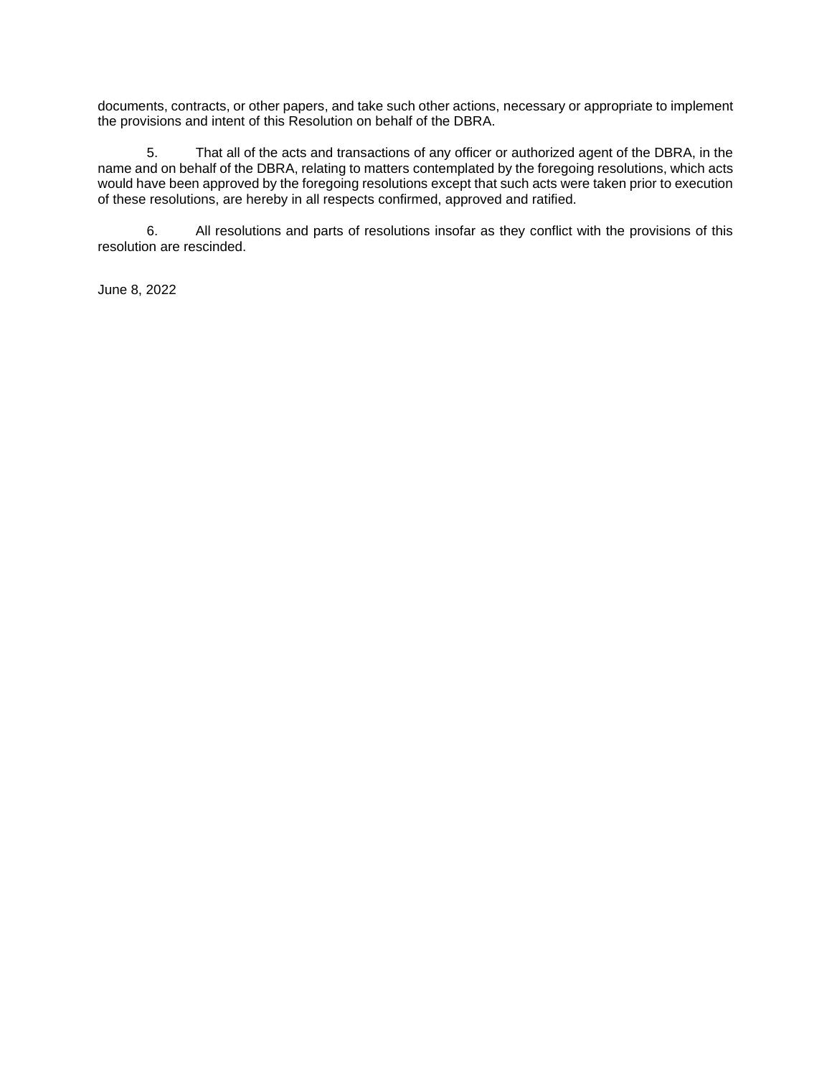documents, contracts, or other papers, and take such other actions, necessary or appropriate to implement the provisions and intent of this Resolution on behalf of the DBRA.

5. That all of the acts and transactions of any officer or authorized agent of the DBRA, in the name and on behalf of the DBRA, relating to matters contemplated by the foregoing resolutions, which acts would have been approved by the foregoing resolutions except that such acts were taken prior to execution of these resolutions, are hereby in all respects confirmed, approved and ratified.

6. All resolutions and parts of resolutions insofar as they conflict with the provisions of this resolution are rescinded.